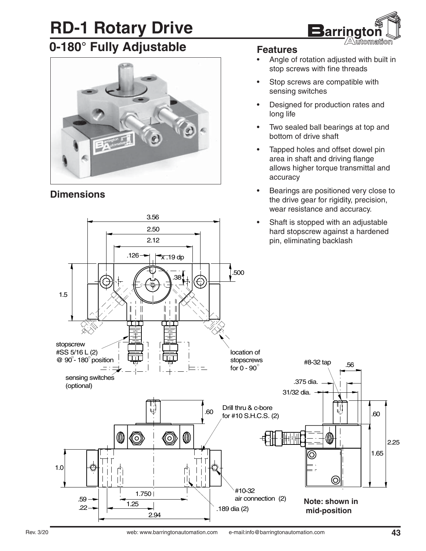# **RD-1 Rotary Drive**



### **0-180° Fully Adjustable**



3.56 2.50

#### **Dimensions**

#### **Features**

- Angle of rotation adjusted with built in stop screws with fine threads
- Stop screws are compatible with sensing switches
- Designed for production rates and long life
- Two sealed ball bearings at top and bottom of drive shaft
- Tapped holes and offset dowel pin area in shaft and driving flange allows higher torque transmittal and accuracy
- Bearings are positioned very close to the drive gear for rigidity, precision, wear resistance and accuracy.
- Shaft is stopped with an adjustable hard stopscrew against a hardened pin, eliminating backlash